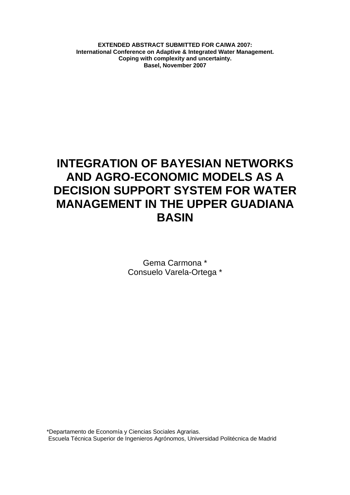**EXTENDED ABSTRACT SUBMITTED FOR CAIWA 2007: International Conference on Adaptive & Integrated Water Management. Coping with complexity and uncertainty. Basel, November 2007** 

# **INTEGRATION OF BAYESIAN NETWORKS AND AGRO-ECONOMIC MODELS AS A DECISION SUPPORT SYSTEM FOR WATER MANAGEMENT IN THE UPPER GUADIANA BASIN**

Gema Carmona \* Consuelo Varela-Ortega \*

\*Departamento de Economía y Ciencias Sociales Agrarias. Escuela Técnica Superior de Ingenieros Agrónomos, Universidad Politécnica de Madrid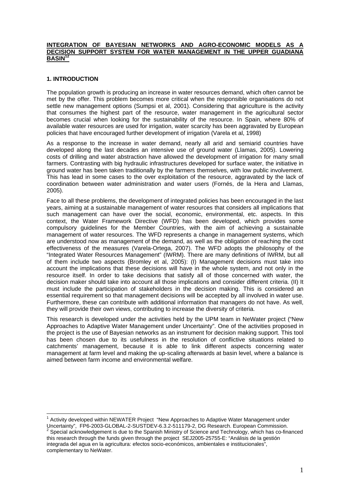#### **INTEGRATION OF BAYESIAN NETWORKS AND AGRO-ECONOMIC MODELS AS DECISION SUPPORT SYSTEM FOR WATER MANAGEMENT IN THE UPPER GUADIANA BASIN12**

# **1. INTRODUCTION**

 $\overline{a}$ 

The population growth is producing an increase in water resources demand, which often cannot be met by the offer. This problem becomes more critical when the responsible organisations do not settle new management options (Sumpsi et al, 2001). Considering that agriculture is the activity that consumes the highest part of the resource, water management in the agricultural sector becomes crucial when looking for the sustainability of the resource. In Spain, where 80% of available water resources are used for irrigation, water scarcity has been aggravated by European policies that have encouraged further development of irrigation (Varela et al, 1998)

As a response to the increase in water demand, nearly all arid and semiarid countries have developed along the last decades an intensive use of ground water (Llamas, 2005). Lowering costs of drilling and water abstraction have allowed the development of irrigation for many small farmers. Contrasting with big hydraulic infrastructures developed for surface water, the initiative in ground water has been taken traditionally by the farmers themselves, with low public involvement. This has lead in some cases to the over exploitation of the resource, aggravated by the lack of coordination between water administration and water users (Fornés, de la Hera and Llamas, 2005).

Face to all these problems, the development of integrated policies has been encouraged in the last years, aiming at a sustainable management of water resources that considers all implications that such management can have over the social, economic, environmental, etc. aspects. In this context, the Water Framework Directive (WFD) has been developed, which provides some compulsory guidelines for the Member Countries, with the aim of achieving a sustainable management of water resources. The WFD represents a change in management systems, which are understood now as management of the demand, as well as the obligation of reaching the cost effectiveness of the measures (Varela-Ortega, 2007). The WFD adopts the philosophy of the "Integrated Water Resources Management" (IWRM). There are many definitions of IWRM, but all of them include two aspects (Bromley et al, 2005): (I) Management decisions must take into account the implications that these decisions will have in the whole system, and not only in the resource itself. In order to take decisions that satisfy all of those concerned with water, the decision maker should take into account all those implications and consider different criteria. (II) It must include the participation of stakeholders in the decision making. This is considered an essential requirement so that management decisions will be accepted by all involved in water use. Furthermore, these can contribute with additional information that managers do not have. As well, they will provide their own views, contributing to increase the diversity of criteria.

This research is developed under the activities held by the UPM team in NeWater project ("New Approaches to Adaptive Water Management under Uncertainty". One of the activities proposed in the project is the use of Bayesian networks as an instrument for decision making support. This tool has been chosen due to its usefulness in the resolution of conflictive situations related to catchments' management, because it is able to link different aspects concerning water management at farm level and making the up-scaling afterwards at basin level, where a balance is aimed between farm income and environmental welfare.

<sup>&</sup>lt;sup>1</sup> Activity developed within NEWATER Project "New Approaches to Adaptive Water Management under Uncertainty", FP6-2003-GLOBAL-2-SUSTDEV-6.3.2-511179-2, DG Research. European Commission.

Special acknowledgement is due to the Spanish Ministry of Science and Technology, which has co-financed this research through the funds given through the project SEJ2005-25755-E: "Análisis de la gestión integrada del agua en la agricultura: efectos socio-económicos, ambientales e institucionales", complementary to NeWater.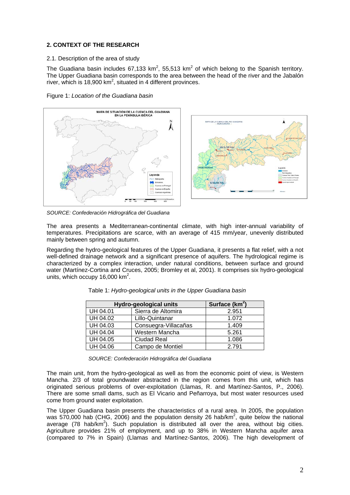# **2. CONTEXT OF THE RESEARCH**

### 2.1. Description of the area of study

The Guadiana basin includes 67,133 km<sup>2</sup>, 55,513 km<sup>2</sup> of which belong to the Spanish territory. The Upper Guadiana basin corresponds to the area between the head of the river and the Jabalón river, which is 18,900  $km^2$ , situated in 4 different provinces.





*SOURCE: Confederación Hidrográfica del Guadiana* 

The area presents a Mediterranean-continental climate, with high inter-annual variability of temperatures. Precipitations are scarce, with an average of 415 mm/year, unevenly distributed mainly between spring and autumn.

Regarding the hydro-geological features of the Upper Guadiana, it presents a flat relief, with a not well-defined drainage network and a significant presence of aquifers. The hydrological regime is characterized by a complex interaction, under natural conditions, between surface and ground water (Martínez-Cortina and Cruces, 2005; Bromley et al, 2001). It comprises six hydro-geological units, which occupy 16,000  $km^2$ .

| Hydro-geological units | Surface $(km^2)$     |       |
|------------------------|----------------------|-------|
| UH 04.01               | Sierra de Altomira   | 2.951 |
| UH 04.02               | Lillo-Quintanar      | 1.072 |
| UH 04.03               | Consuegra-Villacañas | 1.409 |
| <b>UH 04.04</b>        | Western Mancha       | 5.261 |
| UH 04.05               | <b>Ciudad Real</b>   | 1.086 |
| <b>UH 04.06</b>        | Campo de Montiel     | 2.791 |

Table 1: *Hydro-geological units in the Upper Guadiana basin* 

*SOURCE: Confederación Hidrográfica del Guadiana* 

The main unit, from the hydro-geological as well as from the economic point of view, is Western Mancha. 2/3 of total groundwater abstracted in the region comes from this unit, which has originated serious problems of over-exploitation (Llamas, R. and Martínez-Santos, P., 2006). There are some small dams, such as El Vicario and Peñarroya, but most water resources used come from ground water exploitation.

The Upper Guadiana basin presents the characteristics of a rural area. In 2005, the population was 570,000 hab (CHG, 2006) and the population density 26 hab/km<sup>2</sup>, quite below the national average (78 hab/ $km^2$ ). Such population is distributed all over the area, without big cities. Agriculture provides 21% of employment, and up to 38% in Western Mancha aquifer area (compared to 7% in Spain) (Llamas and Martínez-Santos, 2006). The high development of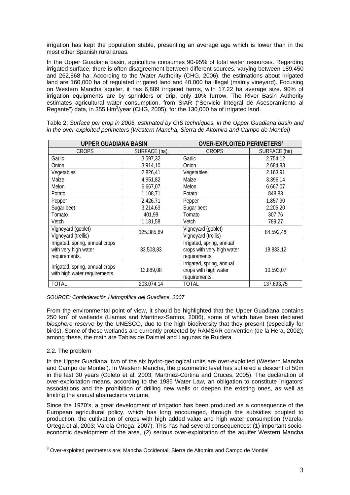irrigation has kept the population stable, presenting an average age which is lower than in the most other Spanish rural areas.

In the Upper Guadiana basin, agriculture consumes 90-95% of total water resources. Regarding irrigated surface, there is often disagreement between different sources, varying between 189,450 and 262,868 ha. According to the Water Authority (CHG, 2006), the estimations about irrigated land are 160,000 ha of regulated irrigated land and 40,000 ha illegal (mainly vineyard). Focusing on Western Mancha aquifer, it has 6,889 irrigated farms, with 17.22 ha average size. 90% of irrigation equipments are by sprinklers or drip, only 10% furrow. The River Basin Authority estimates agricultural water consumption, from SIAR ("Servicio Integral de Asesoramiento al Regante") data, in 355 Hm $\frac{3}{y}$ ear (CHG, 2005), for the 130,000 ha of irrigated land.

| <b>UPPER GUADIANA BASIN</b>     |              | <b>OVER-EXPLOITED PERIMETERS3</b> |              |  |
|---------------------------------|--------------|-----------------------------------|--------------|--|
| <b>CROPS</b>                    | SURFACE (ha) | <b>CROPS</b>                      | SURFACE (ha) |  |
| Garlic                          | 3.597,32     | Garlic                            | 2.754,12     |  |
| Onion                           | 3.914,10     | Onion                             | 2.684,88     |  |
| Vegetables                      | 2.826,41     | Vegetables                        | 2.163,91     |  |
| Maize                           | 4.951,82     | Maize                             | 3.396,14     |  |
| Melon                           | 6.667,07     | Melon                             | 6.667,07     |  |
| Potato                          | 1.108,71     | Potato                            | 848,83       |  |
| Pepper                          | 2.426,71     | Pepper                            | 1.857,90     |  |
| Sugar beet                      | 3.214,63     | Sugar beet                        | 2.205,20     |  |
| Tomato                          | 401,99       | Tomato                            | 307,76       |  |
| Vetch                           | 1.181,58     | Vetch                             | 789,27       |  |
| Vigneyard (goblet)              | 125.385,89   | Vigneyard (goblet)                | 84.592,48    |  |
| Vigneyard (trellis)             |              | Vigneyard (trellis)               |              |  |
| Irrigated, spring, annual crops |              | Irrigated, spring, annual         |              |  |
| with very high water            | 33.508,83    | crops with very high water        | 18.833,12    |  |
| requirements.                   |              | requirements.                     |              |  |
| Irrigated, spring, annual crops |              | Irrigated, spring, annual         | 10.593,07    |  |
| with high water requirements.   | 13.889,08    | crops with high water             |              |  |
|                                 |              | requirements.                     |              |  |
| <b>TOTAL</b>                    | 203.074,14   | TOTAL                             | 137.693,75   |  |

Table 2: *Surface per crop in 2005, estimated by GIS techniques, in the Upper Guadiana basin and in the over-exploited perimeters (Western Mancha, Sierra de Altomira and Campo de Montiel)* 

*SOURCE: Confederación Hidrográfica del Guadiana, 2007* 

From the environmental point of view, it should be highlighted that the Upper Guadiana contains 250  $km^2$  of wetlands (Llamas and Martínez-Santos, 2006), some of which have been declared *biosphere reserve* by the UNESCO, due to the high biodiversity that they present (especially for birds). Some of these wetlands are currently protected by RAMSAR convention (de la Hera, 2002); among these, the main are Tablas de Daimiel and Lagunas de Ruidera.

## 2.2. The problem

In the Upper Guadiana, two of the six hydro-geological units are over-exploited (Western Mancha and Campo de Montiel). In Western Mancha, the piezometric level has suffered a descent of 50m in the last 30 years (Coleto et al, 2003; Martínez-Cortina and Cruces, 2005). The declaration of over-exploitation means, according to the 1985 Water Law, an obligation to constitute irrigators' associations and the prohibition of drilling new wells or deepen the existing ones, as well as limiting the annual abstractions volume.

Since the 1970's, a great development of irrigation has been produced as a consequence of the European agricultural policy, which has long encouraged, through the subsidies coupled to production, the cultivation of crops with high added value and high water consumption (Varela-Ortega et al, 2003; Varela-Ortega, 2007). This has had several consequences: (1) important socioeconomic development of the area, (2) serious over-exploitation of the aquifer Western Mancha

 3 Over-exploited perimeters are: Mancha Occidental, Sierra de Altomira and Campo de Montiel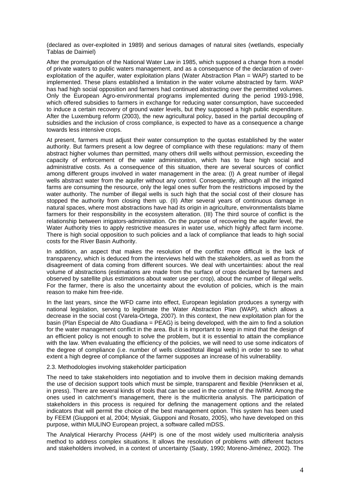(declared as over-exploited in 1989) and serious damages of natural sites (wetlands, especially Tablas de Daimiel)

After the promulgation of the National Water Law in 1985, which supposed a change from a model of private waters to public waters management, and as a consequence of the declaration of overexploitation of the aquifer, water exploitation plans (Water Abstraction Plan = WAP) started to be implemented. These plans established a limitation in the water volume abstracted by farm. WAP has had high social opposition and farmers had continued abstracting over the permitted volumes. Only the European Agro-environmental programs implemented during the period 1993-1998, which offered subsidies to farmers in exchange for reducing water consumption, have succeeded to induce a certain recovery of ground water levels, but they supposed a high public expenditure. After the Luxemburg reform (2003), the new agricultural policy, based in the partial decoupling of subsidies and the inclusion of cross compliance, is expected to have as a consequence a change towards less intensive crops.

At present, farmers must adjust their water consumption to the quotas established by the water authority. But farmers present a low degree of compliance with these regulations: many of them abstract higher volumes than permitted, many others drill wells without permission, exceeding the capacity of enforcement of the water administration, which has to face high social and administrative costs. As a consequence of this situation, there are several sources of conflict among different groups involved in water management in the area: (I) A great number of illegal wells abstract water from the aquifer without any control. Consequently, although all the irrigated farms are consuming the resource, only the legal ones suffer from the restrictions imposed by the water authority. The number of illegal wells is such high that the social cost of their closure has stopped the authority from closing them up. (II) After several years of continuous damage in natural spaces, where most abstractions have had its origin in agriculture, environmentalists blame farmers for their responsibility in the ecosystem alteration. (III) The third source of conflict is the relationship between irrigators-administration. On the purpose of recovering the aquifer level, the Water Authority tries to apply restrictive measures in water use, which highly affect farm income. There is high social opposition to such policies and a lack of compliance that leads to high social costs for the River Basin Authority.

In addition, an aspect that makes the resolution of the conflict more difficult is the lack of transparency, which is deduced from the interviews held with the stakeholders, as well as from the disagreement of data coming from different sources. We deal with uncertainties: about the real volume of abstractions (estimations are made from the surface of crops declared by farmers and observed by satellite plus estimations about water use per crop), about the number of illegal wells. For the farmer, there is also the uncertainty about the evolution of policies, which is the main reason to make him free-ride.

In the last years, since the WFD came into effect, European legislation produces a synergy with national legislation, serving to legitimate the Water Abstraction Plan (WAP), which allows a decrease in the social cost (Varela-Ortega, 2007). In this context, the new exploitation plan for the basin (Plan Especial de Alto Guadiana = PEAG) is being developed, with the aim to find a solution for the water management conflict in the area. But it is important to keep in mind that the design of an efficient policy is not enough to solve the problem, but it is essential to attain the compliance with the law. When evaluating the efficiency of the policies, we will need to use some indicators of the degree of compliance (i.e. number of wells closed/total illegal wells) in order to see to what extent a high degree of compliance of the farmer supposes an increase of his vulnerability.

#### 2.3. Methodologies involving stakeholder participation

The need to take stakeholders into negotiation and to involve them in decision making demands the use of decision support tools which must be simple, transparent and flexible (Henriksen et al, in press). There are several kinds of tools that can be used in the context of the IWRM. Among the ones used in catchment's management, there is the multicriteria analysis. The participation of stakeholders in this process is required for defining the management options and the related indicators that will permit the choice of the best management option. This system has been used by FEEM (Giupponi et al, 2004; Mysiak, Giupponi and Rosato, 2005), who have developed on this purpose, within MULINO European project, a software called mDSS.

The Analytical Hierarchy Process (AHP) is one of the most widely used multicriteria analysis method to address complex situations. It allows the resolution of problems with different factors and stakeholders involved, in a context of uncertainty (Saaty, 1990; Moreno-Jiménez, 2002). The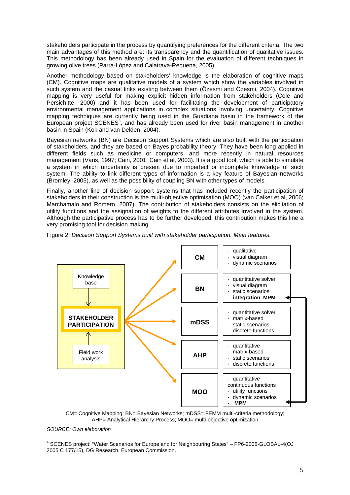stakeholders participate in the process by quantifying preferences for the different criteria. The two main advantages of this method are: its transparency and the quantification of qualitative issues. This methodology has been already used in Spain for the evaluation of different techniques in growing olive trees (Parra-López and Calatrava-Requena, 2005)

Another methodology based on stakeholders' knowledge is the elaboration of cognitive maps (CM). Cognitive maps are qualitative models of a system which show the variables involved in such system and the casual links existing between them (Özesmi and Özesmi, 2004). Cognitive mapping is very useful for making explicit hidden information from stakeholders (Cole and Persichitte, 2000) and it has been used for facilitating the development of participatory environmental management applications in complex situations involving uncertainty. Cognitive mapping techniques are currently being used in the Guadiana basin in the framework of the European project SCENES<sup>4</sup>, and has already been used for river basin management in another basin in Spain (Kok and van Delden, 2004).

Bayesian networks (BN) are Decision Support Systems which are also built with the participation of stakeholders, and they are based on Bayes probability theory. They have been long applied in different fields such as medicine or computers, and more recently in natural resources management (Varis, 1997; Cain, 2001; Cain et al, 2003). It is a good tool, which is able to simulate a system in which uncertainty is present due to imperfect or incomplete knowledge of such system. The ability to link different types of information is a key feature of Bayesian networks (Bromley, 2005), as well as the possibility of coupling BN with other types of models.

Finally, another line of decision support systems that has included recently the participation of stakeholders in their construction is the multi-objective optimisation (MOO) (van Calker et al, 2006; Marchamalo and Romero, 2007). The contribution of stakeholders consists on the elicitation of utility functions and the assignation of weights to the different attributes involved in the system. Although the participative process has to be further developed, this contribution makes this line a very promising tool for decision making.



Figure 2: *Decision Support Systems built with stakeholder participation. Main features.* 

*SOURCE: Own elaboration*

 $\overline{a}$ 

CM= Cognitive Mapping; BN= Bayesian Networks; mDSS= FEMM multi-criteria methodology; AHP= Analytical Hierarchy Process; MOO= multi-objective optimization

<sup>4</sup> SCENES project: "Water Scenarios for Europe and for Neighbouring States" – FP6-2005-GLOBAL-4(OJ 2005 C 177/15), DG Research. European Commission.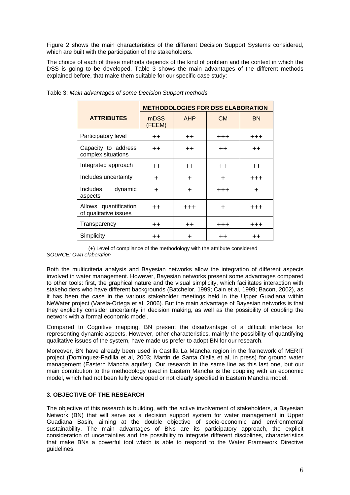Figure 2 shows the main characteristics of the different Decision Support Systems considered, which are built with the participation of the stakeholders.

The choice of each of these methods depends of the kind of problem and the context in which the DSS is going to be developed. Table 3 shows the main advantages of the different methods explained before, that make them suitable for our specific case study:

|                                                | <b>METHODOLOGIES FOR DSS ELABORATION</b> |                              |                  |                  |  |
|------------------------------------------------|------------------------------------------|------------------------------|------------------|------------------|--|
| <b>ATTRIBUTES</b>                              | mDSS<br>(FEEM)                           | <b>AHP</b>                   | <b>CM</b>        | <b>BN</b>        |  |
| Participatory level                            | $++$                                     | $^{\mathrm{++}}$<br>$^{+++}$ |                  | $^{+++}$         |  |
| Capacity to address<br>complex situations      | $++$                                     | $++$                         | $++$             | $++$             |  |
| Integrated approach                            | $++$                                     | $++$                         | $^{\mathrm{++}}$ | $+ +$            |  |
| Includes uncertainty                           | ٠                                        | ÷                            | ÷                | $^{+++}$         |  |
| <b>Includes</b><br>dynamic<br>aspects          | ٠                                        | $\ddot{}$                    | $^{+++}$         | $\div$           |  |
| Allows quantification<br>of qualitative issues | $++$                                     | $^{+++}$                     | ÷                | $^{+++}$         |  |
| Transparency                                   | $++$                                     | $++$                         | $^{+++}$         | $^{+++}$         |  |
| Simplicity                                     | $^{\mathrm{++}}$                         | +                            | $^{\mathrm{++}}$ | $^{\mathrm{++}}$ |  |

Table 3: *Main advantages of some Decision Support methods* 

(+) Level of compliance of the methodology with the attribute considered *SOURCE: Own elaboration* 

Both the multicriteria analysis and Bayesian networks allow the integration of different aspects involved in water management. However, Bayesian networks present some advantages compared to other tools: first, the graphical nature and the visual simplicity, which facilitates interaction with stakeholders who have different backgrounds (Batchelor, 1999; Cain et al, 1999; Bacon, 2002), as it has been the case in the various stakeholder meetings held in the Upper Guadiana within NeWater project (Varela-Ortega et al, 2006). But the main advantage of Bayesian networks is that they explicitly consider uncertainty in decision making, as well as the possibility of coupling the network with a formal economic model.

Compared to Cognitive mapping, BN present the disadvantage of a difficult interface for representing dynamic aspects. However, other characteristics, mainly the possibility of quantifying qualitative issues of the system, have made us prefer to adopt BN for our research.

Moreover, BN have already been used in Castilla La Mancha region in the framework of MERIT project (Domínguez-Padilla et al, 2003; Martin de Santa Olalla et al, in press) for ground water management (Eastern Mancha aquifer). Our research in the same line as this last one, but our main contribution to the methodology used in Eastern Mancha is the coupling with an economic model, which had not been fully developed or not clearly specified in Eastern Mancha model.

## **3. OBJECTIVE OF THE RESEARCH**

The objective of this research is building, with the active involvement of stakeholders, a Bayesian Network (BN) that will serve as a decision support system for water management in Upper Guadiana Basin, aiming at the double objective of socio-economic and environmental sustainability. The main advantages of BNs are its participatory approach, the explicit consideration of uncertainties and the possibility to integrate different disciplines, characteristics that make BNs a powerful tool which is able to respond to the Water Framework Directive guidelines.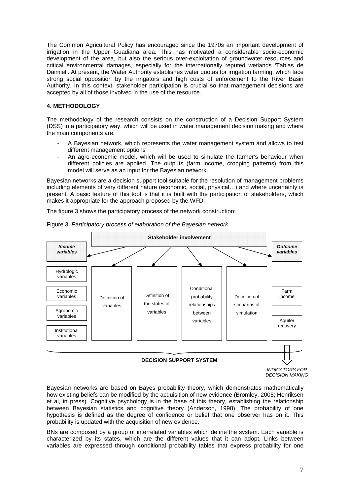The Common Agricultural Policy has encouraged since the 1970s an important development of irrigation in the Upper Guadiana area. This has motivated a considerable socio-economic development of the area, but also the serious over-exploitation of groundwater resources and critical environmental damages, especially for the internationally reputed wetlands 'Tablas de Daimiel'. At present, the Water Authority establishes water quotas for irrigation farming, which face strong social opposition by the irrigators and high costs of enforcement to the River Basin Authority. In this context, stakeholder participation is crucial so that management decisions are accepted by all of those involved in the use of the resource.

## **4. METHODOLOGY**

The methodology of the research consists on the construction of a Decision Support System (DSS) in a participatory way, which will be used in water management decision making and where the main components are:

- A Bayesian network, which represents the water management system and allows to test different management options
- An agro-economic model, which will be used to simulate the farmer's behaviour when different policies are applied. The outputs (farm income, cropping patterns) from this model will serve as an input for the Bayesian network.

Bayesian networks are a decision support tool suitable for the resolution of management problems including elements of very different nature (economic, social, physical…) and where uncertainty is present. A basic feature of this tool is that it is built with the participation of stakeholders, which makes it appropriate for the approach proposed by the WFD.

The figure 3 shows the participatory process of the network construction:



Figure 3. *Participatory process of elaboration of the Bayesian network* 

*INDICATORS FOR DECISION MAKING* 

Bayesian networks are based on Bayes probability theory, which demonstrates mathematically how existing beliefs can be modified by the acquisition of new evidence (Bromley, 2005: Henriksen et al, in press). Cognitive psychology is in the base of this theory, establishing the relationship between Bayesian statistics and cognitive theory (Anderson, 1998). The probability of one hypothesis is defined as the degree of confidence or belief that one observer has on it. This probability is updated with the acquisition of new evidence.

BNs are composed by a group of interrelated variables which define the system. Each variable is characterized by its states, which are the different values that it can adopt. Links between variables are expressed through conditional probability tables that express probability for one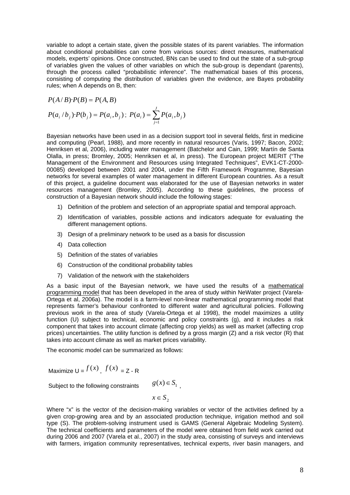variable to adopt a certain state, given the possible states of its parent variables. The information about conditional probabilities can come from various sources: direct measures, mathematical models, experts' opinions. Once constructed, BNs can be used to find out the state of a sub-group of variables given the values of other variables on which the sub-group is dependant (parents), through the process called "probabilistic inference". The mathematical bases of this process, consisting of computing the distribution of variables given the evidence, are Bayes probability rules; when A depends on B, then:

$$
P(A/B) \cdot P(B) = P(A, B)
$$
  
 
$$
P(a_i / b_j) \cdot P(b_j) = P(a_i, b_j); \ P(a_i) = \sum_{j=1}^{J} P(a_i, b_j)
$$

Bayesian networks have been used in as a decision support tool in several fields, first in medicine and computing (Pearl, 1988), and more recently in natural resources (Varis, 1997; Bacon, 2002; Henriksen et al, 2006), including water management (Batchelor and Cain, 1999; Martín de Santa Olalla, in press; Bromley, 2005; Henriksen et al, in press). The European project MERIT ("The Management of the Environment and Resources using Integrated Techniques", EVK1-CT-2000- 00085) developed between 2001 and 2004, under the Fifth Framework Programme, Bayesian networks for several examples of water management in different European countries. As a result of this project, a guideline document was elaborated for the use of Bayesian networks in water resources management (Bromley, 2005). According to these guidelines, the process of construction of a Bayesian network should include the following stages:

- 1) Definition of the problem and selection of an appropriate spatial and temporal approach.
- 2) Identification of variables, possible actions and indicators adequate for evaluating the different management options.
- 3) Design of a preliminary network to be used as a basis for discussion
- 4) Data collection
- 5) Definition of the states of variables
- 6) Construction of the conditional probability tables
- 7) Validation of the network with the stakeholders

As a basic input of the Bayesian network, we have used the results of a mathematical programming model that has been developed in the area of study within NeWater project (Varela-Ortega et al, 2006a). The model is a farm-level non-linear mathematical programming model that represents farmer's behaviour confronted to different water and agricultural policies. Following previous work in the area of study (Varela-Ortega et al 1998), the model maximizes a utility function (U) subject to technical, economic and policy constraints (g), and it includes a risk component that takes into account climate (affecting crop yields) as well as market (affecting crop prices) uncertainties. The utility function is defined by a gross margin  $(Z)$  and a risk vector  $(R)$  that takes into account climate as well as market prices variability.

The economic model can be summarized as follows:

Maximize  $U = f(x)$   $f(x) = Z - R$ 

Subject to the following constraints  $g(x) \in S_1$ .

 $x \in S_2$ 

Where "x" is the vector of the decision-making variables or vector of the activities defined by a given crop-growing area and by an associated production technique, irrigation method and soil type (S). The problem-solving instrument used is GAMS (General Algebraic Modeling System). The technical coefficients and parameters of the model were obtained from field work carried out during 2006 and 2007 (Varela et al., 2007) in the study area, consisting of surveys and interviews with farmers, irrigation community representatives, technical experts, river basin managers, and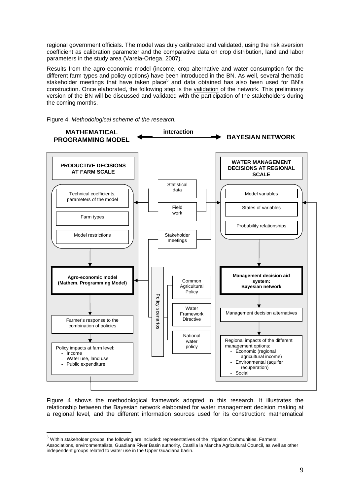regional government officials. The model was duly calibrated and validated, using the risk aversion coefficient as calibration parameter and the comparative data on crop distribution, land and labor parameters in the study area (Varela-Ortega, 2007).

Results from the agro-economic model (income, crop alternative and water consumption for the different farm types and policy options) have been introduced in the BN. As well, several thematic stakeholder meetings that have taken place<sup>5</sup> and data obtained has also been used for BN's construction. Once elaborated, the following step is the validation of the network. This preliminary version of the BN will be discussed and validated with the participation of the stakeholders during the coming months.



 $\overline{a}$ 



Figure 4 shows the methodological framework adopted in this research. It illustrates the relationship between the Bayesian network elaborated for water management decision making at a regional level, and the different information sources used for its construction: mathematical

 $<sup>5</sup>$  Within stakeholder groups, the following are included: representatives of the Irrigation Communities, Farmers'</sup> Associations, environmentalists, Guadiana River Basin authority, Castilla la Mancha Agricultural Council, as well as other independent groups related to water use in the Upper Guadiana basin.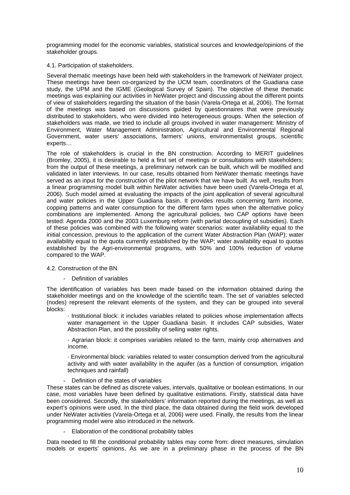programming model for the economic variables, statistical sources and knowledge/opinions of the stakeholder groups.

### 4.1. Participation of stakeholders.

Several thematic meetings have been held with stakeholders in the framework of NeWater project. These meetings have been co-organized by the UCM team, coordinators of the Guadiana case study, the UPM and the IGME (Geological Survey of Spain). The objective of these thematic meetings was explaining our activities in NeWater project and discussing about the different points of view of stakeholders regarding the situation of the basin (Varela-Ortega et al, 2006). The format of the meetings was based on discussions guided by questionnaires that were previously distributed to stakeholders, who were divided into heterogeneous groups. When the selection of stakeholders was made, we tried to include all groups involved in water management: Ministry of Environment, Water Management Administration, Agricultural and Environmental Regional Government, water users' associations, farmers' unions, environmentalist groups, scientific experts…

The role of stakeholders is crucial in the BN construction. According to MERIT guidelines (Bromley, 2005), it is desirable to held a first set of meetings or consultations with stakeholders; from the output of these meetings, a preliminary network can be built, which will be modified and validated in later interviews. In our case, results obtained from NeWater thematic meetings have served as an input for the construction of the pilot network that we have built. As well, results from a linear programming model built within NeWater activities have been used (Varela-Ortega et al, 2006). Such model aimed at evaluating the impacts of the joint application of several agricultural and water policies in the Upper Guadiana basin. It provides results concerning farm income, copping patterns and water consumption for the different farm types when the alternative policy combinations are implemented. Among the agricultural policies, two CAP options have been tested: Agenda 2000 and the 2003 Luxemburg reform (with partial decoupling of subsidies). Each of these policies was combined with the following water scenarios: water availability equal to the initial concession, previous to the application of the current Water Abstraction Plan (WAP); water availability equal to the quota currently established by the WAP; water availability equal to quotas established by the Agri-environmental programs, with 50% and 100% reduction of volume compared to the WAP.

## 4.2. Construction of the BN

Definition of variables

The identification of variables has been made based on the information obtained during the stakeholder meetings and on the knowledge of the scientific team. The set of variables selected (nodes) represent the relevant elements of the system, and they can be grouped into several blocks:

· Institutional block: it includes variables related to policies whose implementation affects water management in the Upper Guadiana basin. It includes CAP subsidies, Water Abstraction Plan, and the possibility of selling water rights.

· Agrarian block: it comprises variables related to the farm, mainly crop alternatives and income.

· Environmental block: variables related to water consumption derived from the agricultural activity and with water availability in the aquifer (as a function of consumption, irrigation techniques and rainfall)

- Definition of the states of variables

These states can be defined as discrete values, intervals, qualitative or boolean estimations. In our case, most variables have been defined by qualitative estimations. Firstly, statistical data have been considered. Secondly, the stakeholders' information reported during the meetings, as well as expert's opinions were used. In the third place, the data obtained during the field work developed under NeWater activities (Varela-Ortega et al, 2006) were used. Finally, the results from the linear programming model were also introduced in the network.

- Elaboration of the conditional probability tables

Data needed to fill the conditional probability tables may come from: direct measures, simulation models or experts' opinions. As we are in a preliminary phase in the process of the BN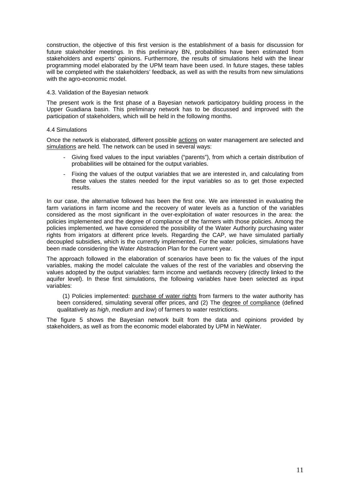construction, the objective of this first version is the establishment of a basis for discussion for future stakeholder meetings. In this preliminary BN, probabilities have been estimated from stakeholders and experts' opinions. Furthermore, the results of simulations held with the linear programming model elaborated by the UPM team have been used. In future stages, these tables will be completed with the stakeholders' feedback, as well as with the results from new simulations with the agro-economic model.

#### 4.3. Validation of the Bayesian network

The present work is the first phase of a Bayesian network participatory building process in the Upper Guadiana basin. This preliminary network has to be discussed and improved with the participation of stakeholders, which will be held in the following months.

#### 4.4 Simulations

Once the network is elaborated, different possible actions on water management are selected and simulations are held. The network can be used in several ways:

- Giving fixed values to the input variables ("parents"), from which a certain distribution of probabilities will be obtained for the output variables.
- Fixing the values of the output variables that we are interested in, and calculating from these values the states needed for the input variables so as to get those expected results.

In our case, the alternative followed has been the first one. We are interested in evaluating the farm variations in farm income and the recovery of water levels as a function of the variables considered as the most significant in the over-exploitation of water resources in the area: the policies implemented and the degree of compliance of the farmers with those policies. Among the policies implemented, we have considered the possibility of the Water Authority purchasing water rights from irrigators at different price levels. Regarding the CAP, we have simulated partially decoupled subsidies, which is the currently implemented. For the water policies, simulations have been made considering the Water Abstraction Plan for the current year.

The approach followed in the elaboration of scenarios have been to fix the values of the input variables, making the model calculate the values of the rest of the variables and observing the values adopted by the output variables: farm income and wetlands recovery (directly linked to the aquifer level). In these first simulations, the following variables have been selected as input variables:

 (1) Policies implemented: purchase of water rights from farmers to the water authority has been considered, simulating several offer prices, and (2) The degree of compliance (defined qualitatively as *high*, *medium* and *low*) of farmers to water restrictions.

The figure 5 shows the Bayesian network built from the data and opinions provided by stakeholders, as well as from the economic model elaborated by UPM in NeWater.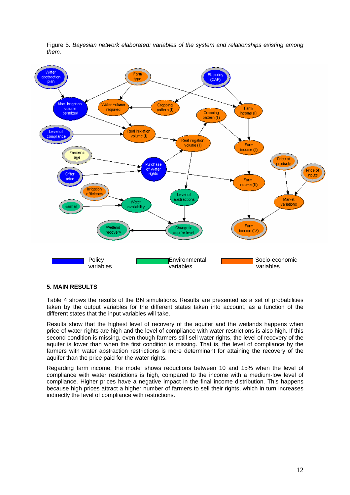

Figure 5. *Bayesian network elaborated: variables of the system and relationships existing among them.*

## **5. MAIN RESULTS**

Table 4 shows the results of the BN simulations. Results are presented as a set of probabilities taken by the output variables for the different states taken into account, as a function of the different states that the input variables will take.

Results show that the highest level of recovery of the aquifer and the wetlands happens when price of water rights are high and the level of compliance with water restrictions is also high. If this second condition is missing, even though farmers still sell water rights, the level of recovery of the aquifer is lower than when the first condition is missing. That is, the level of compliance by the farmers with water abstraction restrictions is more determinant for attaining the recovery of the aquifer than the price paid for the water rights.

Regarding farm income, the model shows reductions between 10 and 15% when the level of compliance with water restrictions is high, compared to the income with a medium-low level of compliance. Higher prices have a negative impact in the final income distribution. This happens because high prices attract a higher number of farmers to sell their rights, which in turn increases indirectly the level of compliance with restrictions.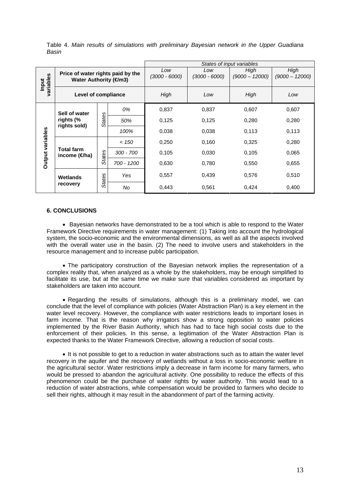|                    |                                                            |               |                        | States of input variables |                          |                          |       |
|--------------------|------------------------------------------------------------|---------------|------------------------|---------------------------|--------------------------|--------------------------|-------|
| variables<br>Input | Price of water rights paid by the<br>Water Authority (€m3) |               | Low<br>$(3000 - 6000)$ | Low<br>(3000 - 6000)      | High<br>$(9000 - 12000)$ | High<br>$(9000 - 12000)$ |       |
|                    | Level of compliance                                        |               |                        | High                      | Low                      | High                     | Low   |
| Output variables   | Sell of water<br>rights (%<br>rights sold)                 | <b>States</b> | 0%                     | 0,837                     | 0,837                    | 0,607                    | 0,607 |
|                    |                                                            |               | 50%                    | 0,125                     | 0,125                    | 0,280                    | 0,280 |
|                    |                                                            |               | 100%                   | 0,038                     | 0,038                    | 0,113                    | 0,113 |
|                    | <b>Total farm</b><br>income ( $\Theta$ ha)                 | <b>States</b> | < 150                  | 0,250                     | 0,160                    | 0,325                    | 0,280 |
|                    |                                                            |               | $300 - 700$            | 0,105                     | 0,030                    | 0.105                    | 0.065 |
|                    |                                                            |               | 700 - 1200             | 0,630                     | 0,780                    | 0,550                    | 0,655 |
|                    | Wetlands<br>recovery                                       | States        | Yes                    | 0,557                     | 0,439                    | 0,576                    | 0,510 |
|                    |                                                            |               | No                     | 0,443                     | 0,561                    | 0,424                    | 0,400 |

Table 4. *Main results of simulations with preliminary Bayesian network in the Upper Guadiana Basin*

#### **6. CONCLUSIONS**

• Bayesian networks have demonstrated to be a tool which is able to respond to the Water Framework Directive requirements in water management: (1) Taking into account the hydrological system, the socio-economic and the environmental dimensions, as well as all the aspects involved with the overall water use in the basin. (2) The need to involve users and stakeholders in the resource management and to increase public participation.

• The participatory construction of the Bayesian network implies the representation of a complex reality that, when analyzed as a whole by the stakeholders, may be enough simplified to facilitate its use, but at the same time we make sure that variables considered as important by stakeholders are taken into account.

• Regarding the results of simulations, although this is a preliminary model, we can conclude that the level of compliance with policies (Water Abstraction Plan) is a key element in the water level recovery. However, the compliance with water restrictions leads to important loses in farm income. That is the reason why irrigators show a strong opposition to water policies implemented by the River Basin Authority, which has had to face high social costs due to the enforcement of their policies. In this sense, a legitimation of the Water Abstraction Plan is expected thanks to the Water Framework Directive, allowing a reduction of social costs.

• It is not possible to get to a reduction in water abstractions such as to attain the water level recovery in the aquifer and the recovery of wetlands without a loss in socio-economic welfare in the agricultural sector. Water restrictions imply a decrease in farm income for many farmers, who would be pressed to abandon the agricultural activity. One possibility to reduce the effects of this phenomenon could be the purchase of water rights by water authority. This would lead to a reduction of water abstractions, while compensation would be provided to farmers who decide to sell their rights, although it may result in the abandonment of part of the farming activity.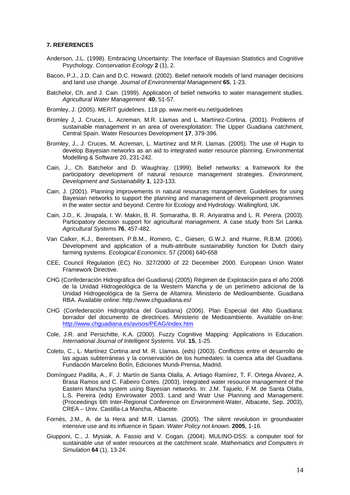#### **7. REFERENCES**

- Anderson, J.L. (1998). Embracing Uncertainty: The Interface of Bayesian Statistics and Cognitive Psychology. *Conservation Ecology* **2** (1), 2.
- Bacon, P.J., J.D. Cain and D.C. Howard. (2002). Belief network models of land manager decisions and land use change. *Journal of Environmental Management* **65**, 1-23.
- Batchelor, Ch. and J. Cain. (1999). Application of belief networks to water management studies. *Agricultural Water Management* **40**, 51-57.
- Bromley, J. (2005). MERIT guidelines. 118 pp. www.merit-eu.net/guidelines
- Bromley J, J. Cruces, L. Acreman, M.R. Llamas and L. Martínez-Cortina. (2001). Problems of sustainable management in an area of overexploitation: The Upper Guadiana catchment, Central Spain. Water Resources Development **17**, 379-396.
- Bromley, J., J. Cruces, M. Acreman, L. Martínez and M.R. Llamas. (2005). The use of Hugin to develop Bayesian networks as an aid to integrated water resource planning. Environmental Modelling & Software 20, 231-242.
- Cain, J., Ch. Batchelor and D. Waughray. (1999). Belief networks: a framework for the participatory development of natural resource management strategies. *Environment, Development and Sustainability* **1**, 123-133.
- Cain, J. (2001). Planning improvements in natural resources management. Guidelines for using Bayesian networks to support the planning and management of development programmes in the water sector and beyond. Centre for Ecology and Hydrology. Wallingford, UK.
- Cain, J.D., K. Jinapala, I. W. Makin, B. R. Somaratha, B. R. Ariyaratna and L. R. Perera. (2003). Participatory decision support for agricultural management. A case study from Sri Lanka. *Agricultural Systems* **76**, 457-482.
- Van Calker, K.J., Berentsen, P.B.M., Romero, C., Giesen, G.W.J. and Huirne, R.B.M. (2006). Development and application of a multi-attribute sustainability function for Dutch dairy farming systems. *Ecological Economics*. 57 (2006) 640-658
- CEE, Council Regulation (EC) No. 327/2000 of 22 December 2000. European Union Water Framework Directive.
- CHG (Confederación Hidrográfica del Guadiana) (2005) Régimen de Explotación para el año 2006 de la Unidad Hidrogeológica de la Western Mancha y de un perímetro adicional de la Unidad Hidrogeológica de la Sierra de Altamira. Ministerio de Medioambiente. Guadiana RBA. Available online: http://www.chguadiana.es/
- CHG (Confederación Hidrográfica del Guadiana) (2006). Plan Especial del Alto Guadiana: borrador del documento de directrices. Ministerio de Medioambiente. Available on-line: http://www.chguadiana.es/avisos/PEAG/index.htm
- Cole, J.R. and Persichitte, K.A. (2000). Fuzzy Cognitive Mapping: Applications in Education. *International Journal of Intelligent Systems.* Vol. **15**, 1-25.
- Coleto, C., L. Martínez Cortina and M. R. Llamas. (eds) (2003). Conflictos entre el desarrollo de las aguas subterráneas y la conservación de los humedales: la cuenca alta del Guadiana. Fundación Marcelino Botín, Ediciones Mundi-Prensa, Madrid.
- Domínguez Padilla, A., F. J. Martín de Santa Olalla, A. Artiago Ramírez, T. F. Ortega Álvarez, A. Brasa Ramos and C. Fabeiro Cortés. (2003). Integrated water resource management of the Eastern Mancha system using Bayesian networks. In: J.M. Tajuelo, F.M. de Santa Olalla, L.S. Pereira (eds) Envirowater 2003. Land and Watr Use Planning and Management. (Proceedings 6th Inter-Regional Conference on Environment-Water, Albacete, Sep. 2003), CREA – Univ. Castilla-La Mancha, Albacete.
- Fornés, J.M., A. de la Hera and M.R. Llamas. (2005). The silent revolution in groundwater intensive use and its influence in Spain. *Water Policy not known.* **2005**, 1-16.
- Giupponi, C., J. Mysiak, A. Fassio and V. Cogan. (2004). MULINO-DSS: a computer tool for sustainable use of water resources at the catchment scale. *Mathematics and Computers in Simulation* **64** (1), 13-24.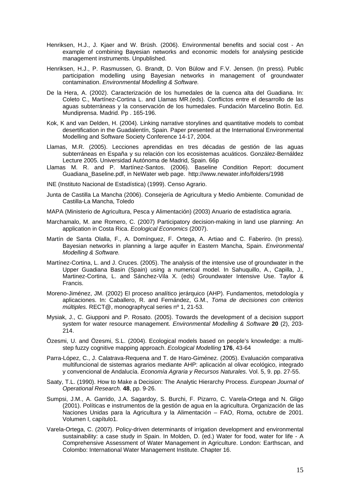- Henriksen, H.J., J. Kjaer and W. Brüsh. (2006). Environmental benefits and social cost An example of combining Bayesian networks and economic models for analysing pesticide management instruments. Unpublished.
- Henriksen, H.J., P. Rasmussen, G. Brandt, D. Von Bülow and F.V. Jensen. (In press). Public participation modelling using Bayesian networks in management of groundwater contamination. *Environmental Modelling & Software.*
- De la Hera, A. (2002). Caracterización de los humedales de la cuenca alta del Guadiana. In: Coleto C., Martínez-Cortina L. and Llamas MR.(eds). Conflictos entre el desarrollo de las aguas subterráneas y la conservación de los humedales. Fundación Marcelino Botín. Ed. Mundiprensa. Madrid. Pp . 165-196.
- Kok, K and van Delden, H. (2004). Linking narrative storylines and quantitative models to combat desertification in the Guadalentín, Spain. Paper presented at the International Environmental Modelling and Software Society Conference 14-17, 2004.
- Llamas, M.R. (2005). Lecciones aprendidas en tres décadas de gestión de las aguas subterráneas en España y su relación con los ecosistemas acuáticos. González-Bernáldez Lecture 2005. Universidad Autónoma de Madrid, Spain. 66p
- Llamas M. R. and P. Martínez-Santos. (2006). Baseline Condition Report: document Guadiana\_Baseline.pdf, in NeWater web page. http://www.newater.info/folders/1998
- INE (Instituto Nacional de Estadística) (1999). Censo Agrario.
- Junta de Castilla La Mancha (2006). Consejería de Agricultura y Medio Ambiente. Comunidad de Castilla-La Mancha, Toledo
- MAPA (Ministerio de Agricultura, Pesca y Alimentación) (2003) Anuario de estadística agraria.
- Marchamalo, M. ane Romero, C. (2007) Participatory decision-making in land use planning: An application in Costa Rica. *Ecological Economics* (2007).
- Martín de Santa Olalla, F., A. Domínguez, F. Ortega, A. Artiao and C. Faberiro. (In press). Bayesian networks in planning a large aquifer in Eastern Mancha, Spain. *Environmental Modelling & Software.*
- Martínez-Cortina, L. and J. Cruces. (2005). The analysis of the intensive use of groundwater in the Upper Guadiana Basin (Spain) using a numerical model. In Sahuquillo, A., Capilla, J., Martinez-Cortina, L. and Sánchez-Vila X. (eds) Groundwater Intensive Use. Taylor & Francis.
- Moreno-Jiménez, JM. (2002) El proceso analítico jerárquico (AHP). Fundamentos, metodología y aplicaciones. In: Caballero, R. and Fernández, G.M., *Toma de decisiones con criterios múltiples.* RECT@, monographycal series nº 1, 21-53.
- Mysiak, J., C. Giupponi and P. Rosato. (2005). Towards the development of a decision support system for water resource management. *Environmental Modelling & Software* **20** (2), 203- 214.
- Özesmi, U. and Özesmi, S.L. (2004). Ecological models based on people's knowledge: a multistep fuzzy cognitive mapping approach. *Ecological Modelling* **176**, 43-64
- Parra-López, C., J. Calatrava-Requena and T. de Haro-Giménez. (2005). Evaluación comparativa multifuncional de sistemas agrarios mediante AHP: aplicación al olivar ecológico, integrado y convencional de Andalucía. *Economía Agraria y Recursos Naturales.* Vol. 5, 9. pp. 27-55.
- Saaty, T.L. (1990). How to Make a Decision: The Analytic Hierarchy Process. *European Journal of Operational Research.* **48**, pp. 9-26.
- Sumpsi, J.M., A. Garrido, J.A. Sagardoy, S. Burchi, F. Pizarro, C. Varela-Ortega and N. Gligo (2001). Políticas e instrumentos de la gestión de agua en la agricultura. Organización de las Naciones Unidas para la Agricultura y la Alimentación – FAO, Roma, octubre de 2001. Volumen I, capítulo1.
- Varela-Ortega, C. (2007). Policy-driven determinants of irrigation development and environmental sustainability: a case study in Spain. In Molden, D. (ed.) Water for food, water for life - A Comprehensive Assessment of Water Management in Agriculture. London: Earthscan, and Colombo: International Water Management Institute. Chapter 16.